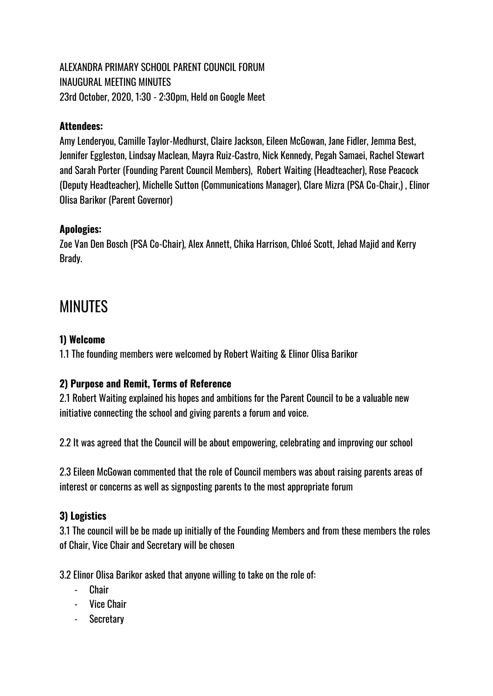# ALEXANDRA PRIMARY SCHOOL PARENT COUNCIL FORUM INAUGURAL MEETING MINUTES 23rd October, 2020, 1:30 - 2:30pm, Held on Google Meet

## **Attendees:**

Amy Lenderyou, Camille Taylor-Medhurst, Claire Jackson, Eileen McGowan, Jane Fidler, Jemma Best, Jennifer Eggleston, Lindsay Maclean, Mayra Ruiz-Castro, Nick Kennedy, Pegah Samaei, Rachel Stewart and Sarah Porter (Founding Parent Council Members), Robert Waiting (Headteacher), Rose Peacock (Deputy Headteacher), Michelle Sutton (Communications Manager), Clare Mizra (PSA Co-Chair,) , Elinor Olisa Barikor (Parent Governor)

#### **Apologies:**

Zoe Van Den Bosch (PSA Co-Chair), Alex Annett, Chika Harrison, Chloé Scott, Jehad Majid and Kerry Brady.

# MINUTES

#### **1) Welcome**

1.1 The founding members were welcomed by Robert Waiting & Elinor Olisa Barikor

# **2) Purpose and Remit, Terms of Reference**

2.1 Robert Waiting explained his hopes and ambitions for the Parent Council to be a valuable new initiative connecting the school and giving parents a forum and voice.

2.2 It was agreed that the Council will be about empowering, celebrating and improving our school

2.3 Eileen McGowan commented that the role of Council members was about raising parents areas of interest or concerns as well as signposting parents to the most appropriate forum

# **3) Logistics**

3.1 The council will be be made up initially of the Founding Members and from these members the roles of Chair, Vice Chair and Secretary will be chosen

3.2 Elinor Olisa Barikor asked that anyone willing to take on the role of:

- **Chair**
- Vice Chair
- Secretary